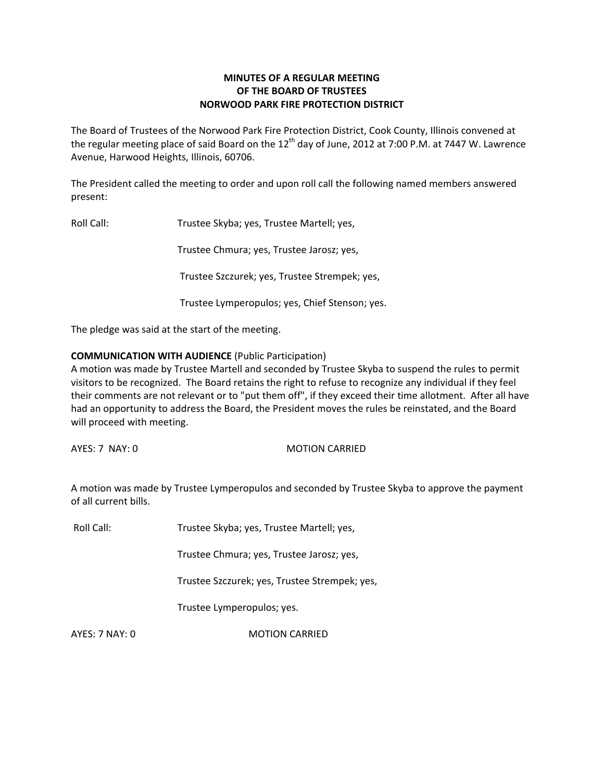# **MINUTES OF A REGULAR MEETING OF THE BOARD OF TRUSTEES NORWOOD PARK FIRE PROTECTION DISTRICT**

The Board of Trustees of the Norwood Park Fire Protection District, Cook County, Illinois convened at the regular meeting place of said Board on the  $12<sup>th</sup>$  day of June, 2012 at 7:00 P.M. at 7447 W. Lawrence Avenue, Harwood Heights, Illinois, 60706.

The President called the meeting to order and upon roll call the following named members answered present:

Roll Call: Trustee Skyba; yes, Trustee Martell; yes,

Trustee Chmura; yes, Trustee Jarosz; yes,

Trustee Szczurek; yes, Trustee Strempek; yes,

Trustee Lymperopulos; yes, Chief Stenson; yes.

The pledge was said at the start of the meeting.

# **COMMUNICATION WITH AUDIENCE** (Public Participation)

A motion was made by Trustee Martell and seconded by Trustee Skyba to suspend the rules to permit visitors to be recognized. The Board retains the right to refuse to recognize any individual if they feel their comments are not relevant or to "put them off", if they exceed their time allotment. After all have had an opportunity to address the Board, the President moves the rules be reinstated, and the Board will proceed with meeting.

AYES: 7 NAY: 0 MOTION CARRIED

A motion was made by Trustee Lymperopulos and seconded by Trustee Skyba to approve the payment of all current bills.

Roll Call: Trustee Skyba; yes, Trustee Martell; yes,

Trustee Chmura; yes, Trustee Jarosz; yes,

Trustee Szczurek; yes, Trustee Strempek; yes,

Trustee Lymperopulos; yes.

AYES: 7 NAY: 0 MOTION CARRIED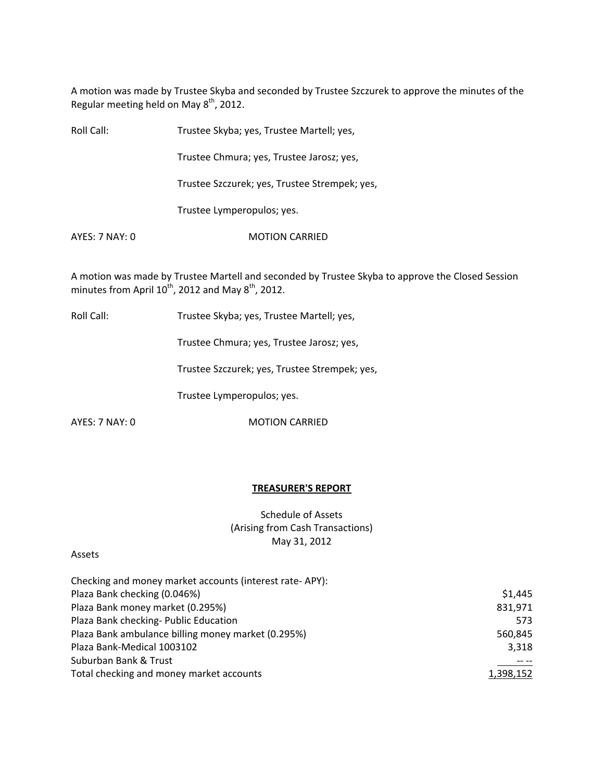A motion was made by Trustee Skyba and seconded by Trustee Szczurek to approve the minutes of the Regular meeting held on May  $8<sup>th</sup>$ , 2012.

| Roll Call:     | Trustee Skyba; yes, Trustee Martell; yes,     |
|----------------|-----------------------------------------------|
|                | Trustee Chmura; yes, Trustee Jarosz; yes,     |
|                | Trustee Szczurek; yes, Trustee Strempek; yes, |
|                | Trustee Lymperopulos; yes.                    |
| AYES: 7 NAY: 0 | <b>MOTION CARRIED</b>                         |
|                |                                               |

A motion was made by Trustee Martell and seconded by Trustee Skyba to approve the Closed Session minutes from April  $10^{th}$ , 2012 and May  $8^{th}$ , 2012.

Roll Call: Trustee Skyba; yes, Trustee Martell; yes,

Trustee Chmura; yes, Trustee Jarosz; yes,

Trustee Szczurek; yes, Trustee Strempek; yes,

Trustee Lymperopulos; yes.

AYES: 7 NAY: 0 MOTION CARRIED

#### **TREASURER'S REPORT**

Schedule of Assets (Arising from Cash Transactions) May 31, 2012

### Assets

| Checking and money market accounts (interest rate-APY): |           |
|---------------------------------------------------------|-----------|
| Plaza Bank checking (0.046%)                            | \$1,445   |
| Plaza Bank money market (0.295%)                        | 831,971   |
| Plaza Bank checking- Public Education                   | 573       |
| Plaza Bank ambulance billing money market (0.295%)      | 560,845   |
| Plaza Bank-Medical 1003102                              | 3,318     |
| Suburban Bank & Trust                                   |           |
| Total checking and money market accounts                | 1,398,152 |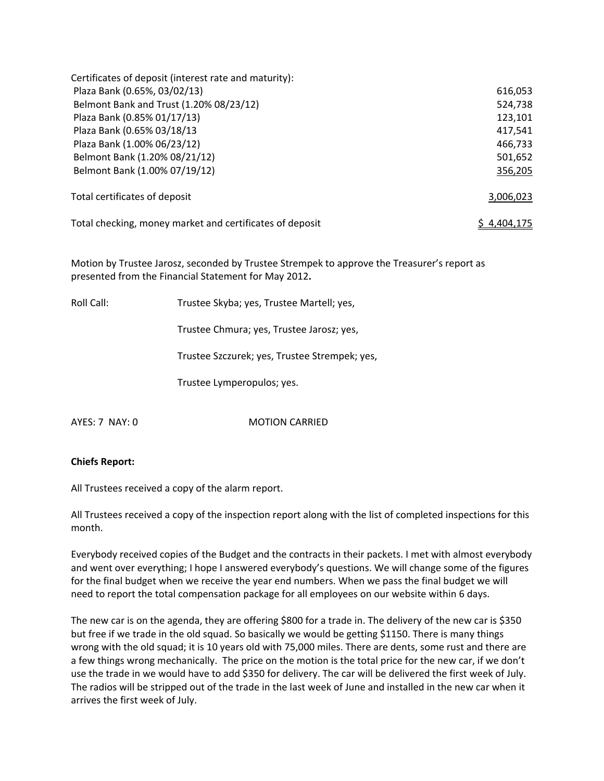| Certificates of deposit (interest rate and maturity):    |             |
|----------------------------------------------------------|-------------|
| Plaza Bank (0.65%, 03/02/13)                             | 616,053     |
| Belmont Bank and Trust (1.20% 08/23/12)                  | 524,738     |
| Plaza Bank (0.85% 01/17/13)                              | 123,101     |
| Plaza Bank (0.65% 03/18/13)                              | 417,541     |
| Plaza Bank (1.00% 06/23/12)                              | 466,733     |
| Belmont Bank (1.20% 08/21/12)                            | 501,652     |
| Belmont Bank (1.00% 07/19/12)                            | 356,205     |
| Total certificates of deposit                            | 3,006,023   |
| Total checking, money market and certificates of deposit | S 4.404.175 |

Motion by Trustee Jarosz, seconded by Trustee Strempek to approve the Treasurer's report as presented from the Financial Statement for May 2012**.**

Roll Call: Trustee Skyba; yes, Trustee Martell; yes,

Trustee Chmura; yes, Trustee Jarosz; yes,

Trustee Szczurek; yes, Trustee Strempek; yes,

Trustee Lymperopulos; yes.

AYES: 7 NAY: 0 MOTION CARRIED

# **Chiefs Report:**

All Trustees received a copy of the alarm report.

All Trustees received a copy of the inspection report along with the list of completed inspections for this month.

Everybody received copies of the Budget and the contracts in their packets. I met with almost everybody and went over everything; I hope I answered everybody's questions. We will change some of the figures for the final budget when we receive the year end numbers. When we pass the final budget we will need to report the total compensation package for all employees on our website within 6 days.

The new car is on the agenda, they are offering \$800 for a trade in. The delivery of the new car is \$350 but free if we trade in the old squad. So basically we would be getting \$1150. There is many things wrong with the old squad; it is 10 years old with 75,000 miles. There are dents, some rust and there are a few things wrong mechanically. The price on the motion is the total price for the new car, if we don't use the trade in we would have to add \$350 for delivery. The car will be delivered the first week of July. The radios will be stripped out of the trade in the last week of June and installed in the new car when it arrives the first week of July.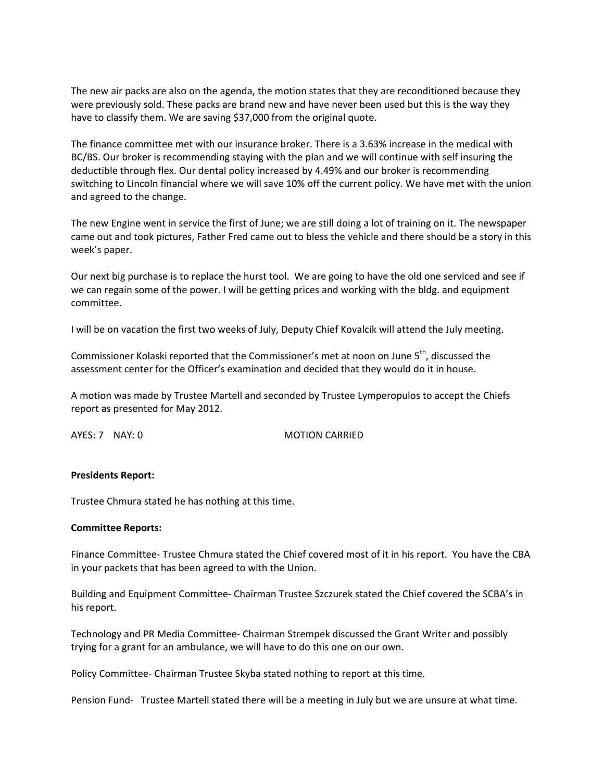The new air packs are also on the agenda, the motion states that they are reconditioned because they were previously sold. These packs are brand new and have never been used but this is the way they have to classify them. We are saving \$37,000 from the original quote.

The finance committee met with our insurance broker. There is a 3.63% increase in the medical with BC/BS. Our broker is recommending staying with the plan and we will continue with self insuring the deductible through flex. Our dental policy increased by 4.49% and our broker is recommending switching to Lincoln financial where we will save 10% off the current policy. We have met with the union and agreed to the change.

The new Engine went in service the first of June; we are still doing a lot of training on it. The newspaper came out and took pictures, Father Fred came out to bless the vehicle and there should be a story in this week's paper.

Our next big purchase is to replace the hurst tool. We are going to have the old one serviced and see if we can regain some of the power. I will be getting prices and working with the bldg. and equipment committee.

I will be on vacation the first two weeks of July, Deputy Chief Kovalcik will attend the July meeting.

Commissioner Kolaski reported that the Commissioner's met at noon on June 5<sup>th</sup>, discussed the assessment center for the Officer's examination and decided that they would do it in house.

A motion was made by Trustee Martell and seconded by Trustee Lymperopulos to accept the Chiefs report as presented for May 2012.

AYES: 7 NAY: 0 MOTION CARRIED

### **Presidents Report:**

Trustee Chmura stated he has nothing at this time.

### **Committee Reports:**

Finance Committee‐ Trustee Chmura stated the Chief covered most of it in his report. You have the CBA in your packets that has been agreed to with the Union.

Building and Equipment Committee‐ Chairman Trustee Szczurek stated the Chief covered the SCBA's in his report.

Technology and PR Media Committee‐ Chairman Strempek discussed the Grant Writer and possibly trying for a grant for an ambulance, we will have to do this one on our own.

Policy Committee‐ Chairman Trustee Skyba stated nothing to report at this time.

Pension Fund- Trustee Martell stated there will be a meeting in July but we are unsure at what time.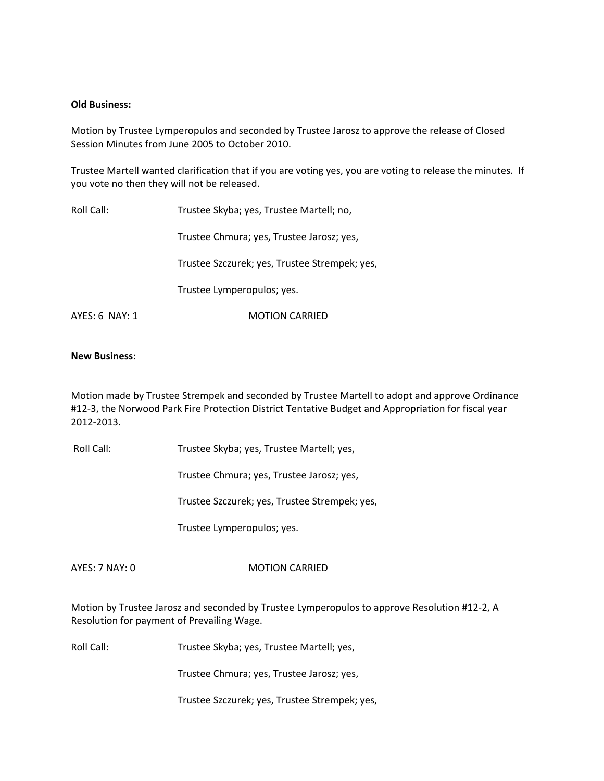#### **Old Business:**

Motion by Trustee Lymperopulos and seconded by Trustee Jarosz to approve the release of Closed Session Minutes from June 2005 to October 2010.

Trustee Martell wanted clarification that if you are voting yes, you are voting to release the minutes. If you vote no then they will not be released.

| Roll Call:     | Trustee Skyba; yes, Trustee Martell; no,      |
|----------------|-----------------------------------------------|
|                | Trustee Chmura; yes, Trustee Jarosz; yes,     |
|                | Trustee Szczurek; yes, Trustee Strempek; yes, |
|                | Trustee Lymperopulos; yes.                    |
| AYES: 6 NAY: 1 | <b>MOTION CARRIED</b>                         |

#### **New Business**:

Motion made by Trustee Strempek and seconded by Trustee Martell to adopt and approve Ordinance #12‐3, the Norwood Park Fire Protection District Tentative Budget and Appropriation for fiscal year 2012‐2013.

Roll Call: Trustee Skyba; yes, Trustee Martell; yes,

Trustee Chmura; yes, Trustee Jarosz; yes,

Trustee Szczurek; yes, Trustee Strempek; yes,

Trustee Lymperopulos; yes.

#### AYES: 7 NAY: 0 MOTION CARRIED

Motion by Trustee Jarosz and seconded by Trustee Lymperopulos to approve Resolution #12‐2, A Resolution for payment of Prevailing Wage.

Roll Call: Trustee Skyba; yes, Trustee Martell; yes,

Trustee Chmura; yes, Trustee Jarosz; yes,

Trustee Szczurek; yes, Trustee Strempek; yes,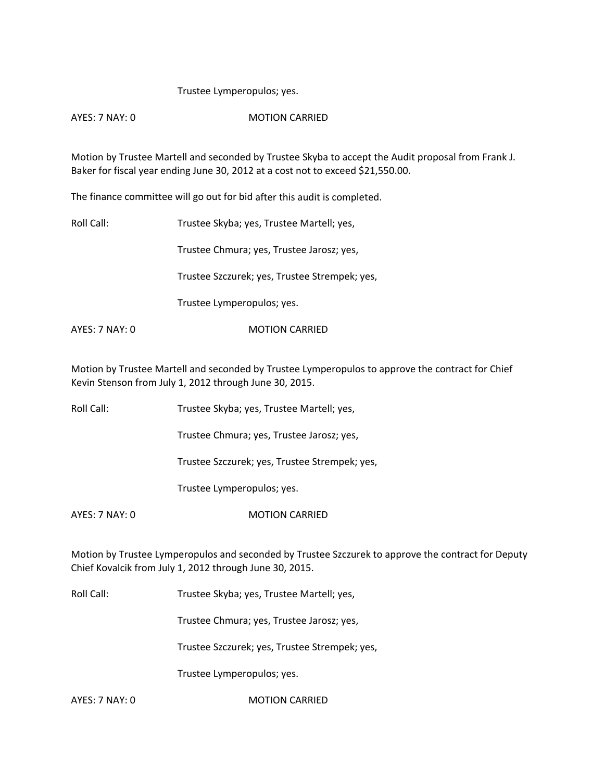## Trustee Lymperopulos; yes.

AYES: 7 NAY: 0 MOTION CARRIED

Motion by Trustee Martell and seconded by Trustee Skyba to accept the Audit proposal from Frank J. Baker for fiscal year ending June 30, 2012 at a cost not to exceed \$21,550.00.

The finance committee will go out for bid after this audit is completed.

Roll Call: Trustee Skyba; yes, Trustee Martell; yes,

Trustee Chmura; yes, Trustee Jarosz; yes,

Trustee Szczurek; yes, Trustee Strempek; yes,

Trustee Lymperopulos; yes.

AYES: 7 NAY: 0 MOTION CARRIED

Motion by Trustee Martell and seconded by Trustee Lymperopulos to approve the contract for Chief Kevin Stenson from July 1, 2012 through June 30, 2015.

Roll Call: Trustee Skyba; yes, Trustee Martell; yes,

Trustee Chmura; yes, Trustee Jarosz; yes,

Trustee Szczurek; yes, Trustee Strempek; yes,

Trustee Lymperopulos; yes.

AYES: 7 NAY: 0 MOTION CARRIED

Motion by Trustee Lymperopulos and seconded by Trustee Szczurek to approve the contract for Deputy Chief Kovalcik from July 1, 2012 through June 30, 2015.

Roll Call: Trustee Skyba; yes, Trustee Martell; yes,

Trustee Chmura; yes, Trustee Jarosz; yes,

Trustee Szczurek; yes, Trustee Strempek; yes,

Trustee Lymperopulos; yes.

AYES: 7 NAY: 0 MOTION CARRIED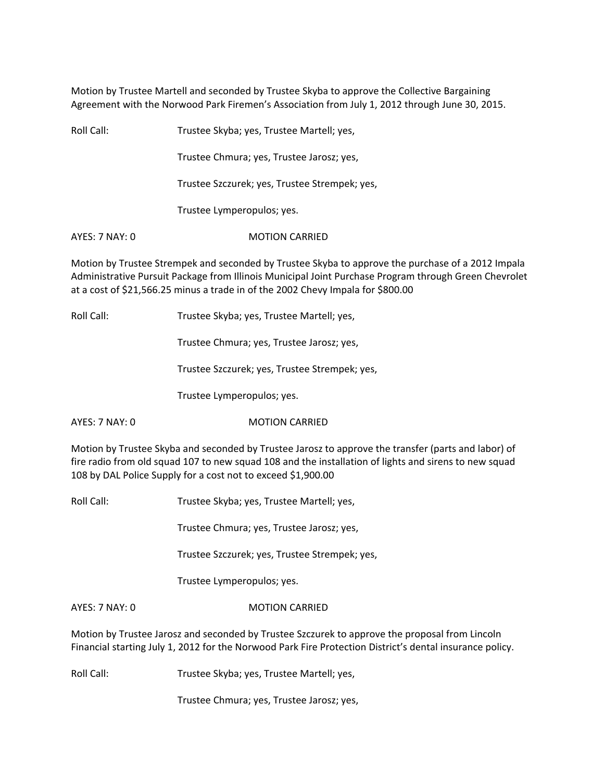Motion by Trustee Martell and seconded by Trustee Skyba to approve the Collective Bargaining Agreement with the Norwood Park Firemen's Association from July 1, 2012 through June 30, 2015.

| Roll Call:     | Trustee Skyba; yes, Trustee Martell; yes,     |
|----------------|-----------------------------------------------|
|                | Trustee Chmura; yes, Trustee Jarosz; yes,     |
|                | Trustee Szczurek; yes, Trustee Strempek; yes, |
|                | Trustee Lymperopulos; yes.                    |
| AYES: 7 NAY: 0 | <b>MOTION CARRIED</b>                         |

Motion by Trustee Strempek and seconded by Trustee Skyba to approve the purchase of a 2012 Impala Administrative Pursuit Package from Illinois Municipal Joint Purchase Program through Green Chevrolet at a cost of \$21,566.25 minus a trade in of the 2002 Chevy Impala for \$800.00

Roll Call: Trustee Skyba; yes, Trustee Martell; yes,

Trustee Chmura; yes, Trustee Jarosz; yes,

Trustee Szczurek; yes, Trustee Strempek; yes,

Trustee Lymperopulos; yes.

AYES: 7 NAY: 0 MOTION CARRIED

Motion by Trustee Skyba and seconded by Trustee Jarosz to approve the transfer (parts and labor) of fire radio from old squad 107 to new squad 108 and the installation of lights and sirens to new squad 108 by DAL Police Supply for a cost not to exceed \$1,900.00

Roll Call: Trustee Skyba; yes, Trustee Martell; yes,

Trustee Chmura; yes, Trustee Jarosz; yes,

Trustee Szczurek; yes, Trustee Strempek; yes,

Trustee Lymperopulos; yes.

## AYES: 7 NAY: 0 MOTION CARRIED

Motion by Trustee Jarosz and seconded by Trustee Szczurek to approve the proposal from Lincoln Financial starting July 1, 2012 for the Norwood Park Fire Protection District's dental insurance policy.

Roll Call: Trustee Skyba; yes, Trustee Martell; yes,

Trustee Chmura; yes, Trustee Jarosz; yes,